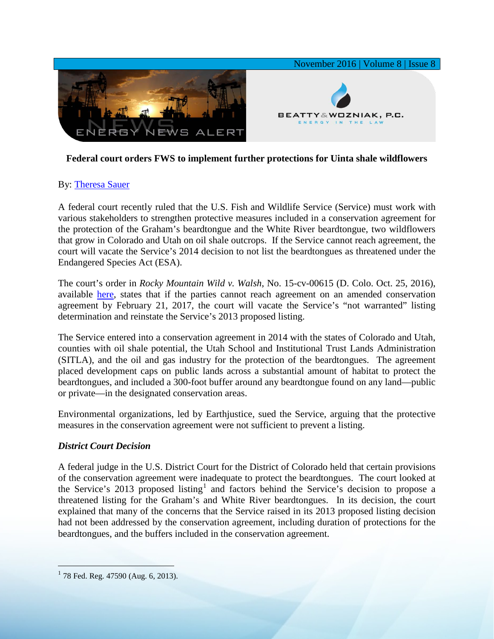

## **Federal court orders FWS to implement further protections for Uinta shale wildflowers**

## By: [Theresa Sauer](http://www.bwenergylaw.com/theresa-sauer)

A federal court recently ruled that the U.S. Fish and Wildlife Service (Service) must work with various stakeholders to strengthen protective measures included in a conservation agreement for the protection of the Graham's beardtongue and the White River beardtongue, two wildflowers that grow in Colorado and Utah on oil shale outcrops. If the Service cannot reach agreement, the court will vacate the Service's 2014 decision to not list the beardtongues as threatened under the Endangered Species Act (ESA).

The court's order in *Rocky Mountain Wild v. Walsh*, No. 15-cv-00615 (D. Colo. Oct. 25, 2016), available [here,](http://media.wix.com/ugd/2f2374_27405069f61d431f862f1ada3e1c67d5.pdf) states that if the parties cannot reach agreement on an amended conservation agreement by February 21, 2017, the court will vacate the Service's "not warranted" listing determination and reinstate the Service's 2013 proposed listing.

The Service entered into a conservation agreement in 2014 with the states of Colorado and Utah, counties with oil shale potential, the Utah School and Institutional Trust Lands Administration (SITLA), and the oil and gas industry for the protection of the beardtongues. The agreement placed development caps on public lands across a substantial amount of habitat to protect the beardtongues, and included a 300-foot buffer around any beardtongue found on any land—public or private—in the designated conservation areas.

Environmental organizations, led by Earthjustice, sued the Service, arguing that the protective measures in the conservation agreement were not sufficient to prevent a listing.

## *District Court Decision*

A federal judge in the U.S. District Court for the District of Colorado held that certain provisions of the conservation agreement were inadequate to protect the beardtongues. The court looked at the Service's 20[1](#page-0-0)3 proposed listing<sup>1</sup> and factors behind the Service's decision to propose a threatened listing for the Graham's and White River beardtongues. In its decision, the court explained that many of the concerns that the Service raised in its 2013 proposed listing decision had not been addressed by the conservation agreement, including duration of protections for the beardtongues, and the buffers included in the conservation agreement.

<span id="page-0-0"></span> $1$  78 Fed. Reg. 47590 (Aug. 6, 2013).